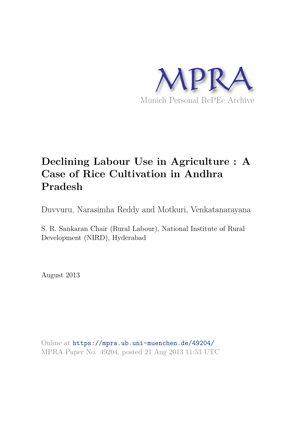

# **Declining Labour Use in Agriculture : A Case of Rice Cultivation in Andhra Pradesh**

Duvvuru, Narasimha Reddy and Motkuri, Venkatanarayana

S. R. Sankaran Chair (Rural Labour), National Institute of Rural Development (NIRD), Hyderabad

August 2013

Online at https://mpra.ub.uni-muenchen.de/49204/ MPRA Paper No. 49204, posted 21 Aug 2013 11:53 UTC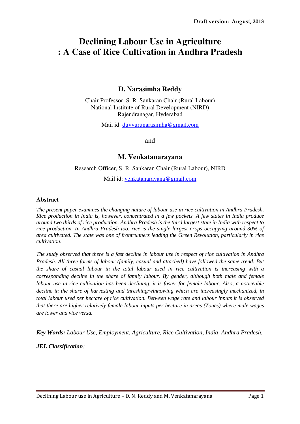## **Declining Labour Use in Agriculture : A Case of Rice Cultivation in Andhra Pradesh**

### **D. Narasimha Reddy**

Chair Professor, S. R. Sankaran Chair (Rural Labour) National Institute of Rural Development (NIRD) Rajendranagar, Hyderabad

Mail id: duvvurunarasimha@gmail.com

and

#### **M. Venkatanarayana**

Research Officer, S. R. Sankaran Chair (Rural Labour), NIRD

Mail id: venkatanarayana@gmail.com

#### **Abstract**

*The present paper examines the changing nature of labour use in rice cultivation in Andhra Pradesh. Rice production in India is, however, concentrated in a few pockets. A few states in India produce around two thirds of rice production. Andhra Pradesh is the third largest state in India with respect to rice production. In Andhra Pradesh too, rice is the single largest crops occupying around 30% of area cultivated. The state was one of frontrunners leading the Green Revolution, particularly in rice cultivation.* 

*The study observed that there is a fast decline in labour use in respect of rice cultivation in Andhra Pradesh. All three forms of labour (family, casual and attached) have followed the same trend. But the share of casual labour in the total labour used in rice cultivation is increasing with a corresponding decline in the share of family labour. By gender, although both male and female labour use in rice cultivation has been declining, it is faster for female labour. Also, a noticeable decline in the share of harvesting and threshing/winnowing which are increasingly mechanized, in total labour used per hectare of rice cultivation. Between wage rate and labour inputs it is observed that there are higher relatively female labour inputs per hectare in areas (Zones) where male wages are lower and vice versa.* 

*Key Words: Labour Use, Employment, Agriculture, Rice Cultivation, India, Andhra Pradesh.* 

*JEL Classification:*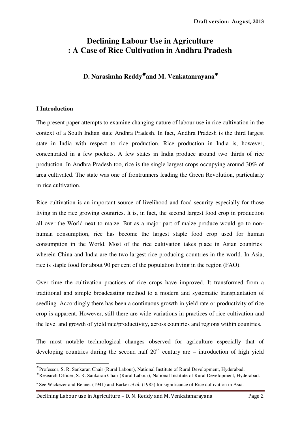## **Declining Labour Use in Agriculture : A Case of Rice Cultivation in Andhra Pradesh**

## **D. Narasimha Reddy**# **and M. Venkatanrayana**<sup>∗</sup>

#### **I Introduction**

l

The present paper attempts to examine changing nature of labour use in rice cultivation in the context of a South Indian state Andhra Pradesh. In fact, Andhra Pradesh is the third largest state in India with respect to rice production. Rice production in India is, however, concentrated in a few pockets. A few states in India produce around two thirds of rice production. In Andhra Pradesh too, rice is the single largest crops occupying around 30% of area cultivated. The state was one of frontrunners leading the Green Revolution, particularly in rice cultivation.

Rice cultivation is an important source of livelihood and food security especially for those living in the rice growing countries. It is, in fact, the second largest food crop in production all over the World next to maize. But as a major part of maize produce would go to nonhuman consumption, rice has become the largest staple food crop used for human consumption in the World. Most of the rice cultivation takes place in Asian countries<sup>1</sup> wherein China and India are the two largest rice producing countries in the world. In Asia, rice is staple food for about 90 per cent of the population living in the region (FAO).

Over time the cultivation practices of rice crops have improved. It transformed from a traditional and simple broadcasting method to a modern and systematic transplantation of seedling. Accordingly there has been a continuous growth in yield rate or productivity of rice crop is apparent. However, still there are wide variations in practices of rice cultivation and the level and growth of yield rate/productivity, across countries and regions within countries.

The most notable technological changes observed for agriculture especially that of developing countries during the second half  $20<sup>th</sup>$  century are – introduction of high yield

<sup>#</sup> Professor, S. R. Sankaran Chair (Rural Labour), National Institute of Rural Development, Hyderabad.

<sup>∗</sup> Research Officer, S. R. Sankaran Chair (Rural Labour), National Institute of Rural Development, Hyderabad.

<sup>&</sup>lt;sup>1</sup> See Wickezer and Bennet (1941) and Barker *et al.* (1985) for significance of Rice cultivation in Asia.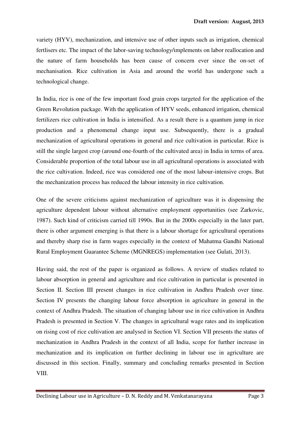variety (HYV), mechanization, and intensive use of other inputs such as irrigation, chemical fertlisers etc. The impact of the labor-saving technology/implements on labor reallocation and the nature of farm households has been cause of concern ever since the on-set of mechanisation. Rice cultivation in Asia and around the world has undergone such a technological change.

In India, rice is one of the few important food grain crops targeted for the application of the Green Revolution package. With the application of HYV seeds, enhanced irrigation, chemical fertilizers rice cultivation in India is intensified. As a result there is a quantum jump in rice production and a phenomenal change input use. Subsequently, there is a gradual mechanization of agricultural operations in general and rice cultivation in particular. Rice is still the single largest crop (around one-fourth of the cultivated area) in India in terms of area. Considerable proportion of the total labour use in all agricultural operations is associated with the rice cultivation. Indeed, rice was considered one of the most labour-intensive crops. But the mechanization process has reduced the labour intensity in rice cultivation.

One of the severe criticisms against mechanization of agriculture was it is dispensing the agriculture dependent labour without alternative employment opportunities (see Zarkovic, 1987). Such kind of criticism carried till 1990s. But in the 2000s especially in the later part, there is other argument emerging is that there is a labour shortage for agricultural operations and thereby sharp rise in farm wages especially in the context of Mahatma Gandhi National Rural Employment Guarantee Scheme (MGNREGS) implementation (see Gulati, 2013).

Having said, the rest of the paper is organized as follows. A review of studies related to labour absorption in general and agriculture and rice cultivation in particular is presented in Section II. Section III present changes in rice cultivation in Andhra Pradesh over time. Section IV presents the changing labour force absorption in agriculture in general in the context of Andhra Pradesh. The situation of changing labour use in rice cultivation in Andhra Pradesh is presented in Section V. The changes in agricultural wage rates and its implication on rising cost of rice cultivation are analysed in Section VI. Section VII presents the status of mechanization in Andhra Pradesh in the context of all India, scope for further increase in mechanization and its implication on further declining in labour use in agriculture are discussed in this section. Finally, summary and concluding remarks presented in Section VIII.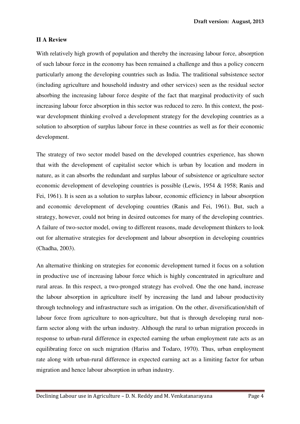#### **II A Review**

With relatively high growth of population and thereby the increasing labour force, absorption of such labour force in the economy has been remained a challenge and thus a policy concern particularly among the developing countries such as India. The traditional subsistence sector (including agriculture and household industry and other services) seen as the residual sector absorbing the increasing labour force despite of the fact that marginal productivity of such increasing labour force absorption in this sector was reduced to zero. In this context, the postwar development thinking evolved a development strategy for the developing countries as a solution to absorption of surplus labour force in these countries as well as for their economic development.

The strategy of two sector model based on the developed countries experience, has shown that with the development of capitalist sector which is urban by location and modern in nature, as it can absorbs the redundant and surplus labour of subsistence or agriculture sector economic development of developing countries is possible (Lewis, 1954 & 1958; Ranis and Fei, 1961). It is seen as a solution to surplus labour, economic efficiency in labour absorption and economic development of developing countries (Ranis and Fei, 1961). But, such a strategy, however, could not bring in desired outcomes for many of the developing countries. A failure of two-sector model, owing to different reasons, made development thinkers to look out for alternative strategies for development and labour absorption in developing countries (Chadha, 2003).

An alternative thinking on strategies for economic development turned it focus on a solution in productive use of increasing labour force which is highly concentrated in agriculture and rural areas. In this respect, a two-pronged strategy has evolved. One the one hand, increase the labour absorption in agriculture itself by increasing the land and labour productivity through technology and infrastructure such as irrigation. On the other, diversification/shift of labour force from agriculture to non-agriculture, but that is through developing rural nonfarm sector along with the urban industry. Although the rural to urban migration proceeds in response to urban-rural difference in expected earning the urban employment rate acts as an equilibrating force on such migration (Hariss and Todaro, 1970). Thus, urban employment rate along with urban-rural difference in expected earning act as a limiting factor for urban migration and hence labour absorption in urban industry.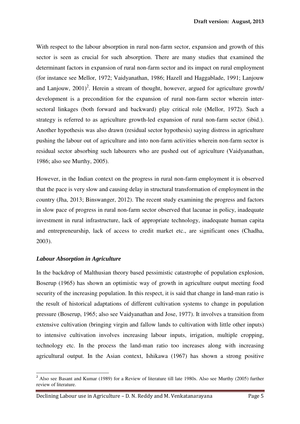With respect to the labour absorption in rural non-farm sector, expansion and growth of this sector is seen as crucial for such absorption. There are many studies that examined the determinant factors in expansion of rural non-farm sector and its impact on rural employment (for instance see Mellor, 1972; Vaidyanathan, 1986; Hazell and Haggablade, 1991; Lanjouw and Lanjouw,  $2001$ <sup>2</sup>. Herein a stream of thought, however, argued for agriculture growth/ development is a precondition for the expansion of rural non-farm sector wherein intersectoral linkages (both forward and backward) play critical role (Mellor, 1972). Such a strategy is referred to as agriculture growth-led expansion of rural non-farm sector (ibid.). Another hypothesis was also drawn (residual sector hypothesis) saying distress in agriculture pushing the labour out of agriculture and into non-farm activities wherein non-farm sector is residual sector absorbing such labourers who are pushed out of agriculture (Vaidyanathan, 1986; also see Murthy, 2005).

However, in the Indian context on the progress in rural non-farm employment it is observed that the pace is very slow and causing delay in structural transformation of employment in the country (Jha, 2013; Binswanger, 2012). The recent study examining the progress and factors in slow pace of progress in rural non-farm sector observed that lacunae in policy, inadequate investment in rural infrastructure, lack of appropriate technology, inadequate human capita and entrepreneurship, lack of access to credit market etc., are significant ones (Chadha, 2003).

#### *Labour Absorption in Agriculture*

 $\overline{a}$ 

In the backdrop of Malthusian theory based pessimistic catastrophe of population explosion, Boserup (1965) has shown an optimistic way of growth in agriculture output meeting food security of the increasing population. In this respect, it is said that change in land-man ratio is the result of historical adaptations of different cultivation systems to change in population pressure (Boserup, 1965; also see Vaidyanathan and Jose, 1977). It involves a transition from extensive cultivation (bringing virgin and fallow lands to cultivation with little other inputs) to intensive cultivation involves increasing labour inputs, irrigation, multiple cropping, technology etc. In the process the land-man ratio too increases along with increasing agricultural output. In the Asian context, Ishikawa (1967) has shown a strong positive

<sup>&</sup>lt;sup>2</sup> Also see Basant and Kumar (1989) for a Review of literature till late 1980s. Also see Murthy (2005) further review of literature.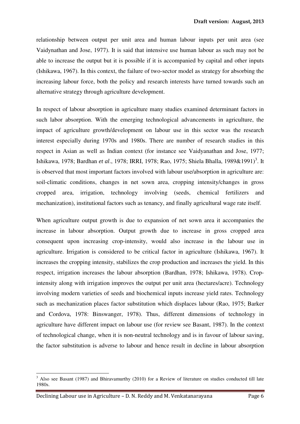relationship between output per unit area and human labour inputs per unit area (see Vaidynathan and Jose, 1977). It is said that intensive use human labour as such may not be able to increase the output but it is possible if it is accompanied by capital and other inputs (Ishikawa, 1967). In this context, the failure of two-sector model as strategy for absorbing the increasing labour force, both the policy and research interests have turned towards such an alternative strategy through agriculture development.

In respect of labour absorption in agriculture many studies examined determinant factors in such labor absorption. With the emerging technological advancements in agriculture, the impact of agriculture growth/development on labour use in this sector was the research interest especially during 1970s and 1980s. There are number of research studies in this respect in Asian as well as Indian context (for instance see Vaidyanathan and Jose, 1977; Ishikawa, 1978; Bardhan *et al.*, 1978; IRRI, 1978; Rao, 1975; Shiela Bhalla, 1989&1991)<sup>3</sup>. It is observed that most important factors involved with labour use/absorption in agriculture are: soil-climatic conditions, changes in net sown area, cropping intensity/changes in gross cropped area, irrigation, technology involving (seeds, chemical fertilizers and mechanization), institutional factors such as tenancy, and finally agricultural wage rate itself.

When agriculture output growth is due to expansion of net sown area it accompanies the increase in labour absorption. Output growth due to increase in gross cropped area consequent upon increasing crop-intensity, would also increase in the labour use in agriculture. Irrigation is considered to be critical factor in agriculture (Ishikawa, 1967). It increases the cropping intensity, stabilizes the crop production and increases the yield. In this respect, irrigation increases the labour absorption (Bardhan, 1978; Ishikawa, 1978). Cropintensity along with irrigation improves the output per unit area (hectares/acre). Technology involving modern varieties of seeds and biochemical inputs increase yield rates. Technology such as mechanization places factor substitution which displaces labour (Rao, 1975; Barker and Cordova, 1978: Binswanger, 1978). Thus, different dimensions of technology in agriculture have different impact on labour use (for review see Basant, 1987). In the context of technological change, when it is non-neutral technology and is in favour of labour saving, the factor substitution is adverse to labour and hence result in decline in labour absorption

 $\overline{a}$ 

 $3$  Also see Basant (1987) and Bhiravamurthy (2010) for a Review of literature on studies conducted till late 1980s.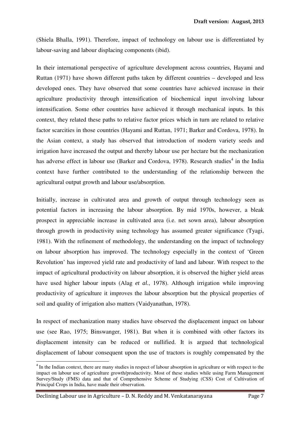(Shiela Bhalla, 1991). Therefore, impact of technology on labour use is differentiated by labour-saving and labour displacing components (ibid).

In their international perspective of agriculture development across countries, Hayami and Ruttan (1971) have shown different paths taken by different countries – developed and less developed ones. They have observed that some countries have achieved increase in their agriculture productivity through intensification of biochemical input involving labour intensification. Some other countries have achieved it through mechanical inputs. In this context, they related these paths to relative factor prices which in turn are related to relative factor scarcities in those countries (Hayami and Ruttan, 1971; Barker and Cordova, 1978). In the Asian context, a study has observed that introduction of modern variety seeds and irrigation have increased the output and thereby labour use per hectare but the mechanization has adverse effect in labour use (Barker and Cordova, 1978). Research studies<sup>4</sup> in the India context have further contributed to the understanding of the relationship between the agricultural output growth and labour use/absorption.

Initially, increase in cultivated area and growth of output through technology seen as potential factors in increasing the labour absorption. By mid 1970s, however, a bleak prospect in appreciable increase in cultivated area (i.e. net sown area), labour absorption through growth in productivity using technology has assumed greater significance (Tyagi, 1981). With the refinement of methodology, the understanding on the impact of technology on labour absorption has improved. The technology especially in the context of 'Green Revolution' has improved yield rate and productivity of land and labour. With respect to the impact of agricultural productivity on labour absorption, it is observed the higher yield areas have used higher labour inputs (Alag *et al.*, 1978). Although irrigation while improving productivity of agriculture it improves the labour absorption but the physical properties of soil and quality of irrigation also matters (Vaidyanathan, 1978).

In respect of mechanization many studies have observed the displacement impact on labour use (see Rao, 1975; Binswanger, 1981). But when it is combined with other factors its displacement intensity can be reduced or nullified. It is argued that technological displacement of labour consequent upon the use of tractors is roughly compensated by the

l

<sup>&</sup>lt;sup>4</sup> In the Indian context, there are many studies in respect of labour absorption in agriculture or with respect to the impact on labour use of agriculture growth/productivity. Most of these studies while using Farm Management Survey/Study (FMS) data and that of Comprehensive Scheme of Studying (CSS) Cost of Cultivation of Principal Crops in India, have made their observation.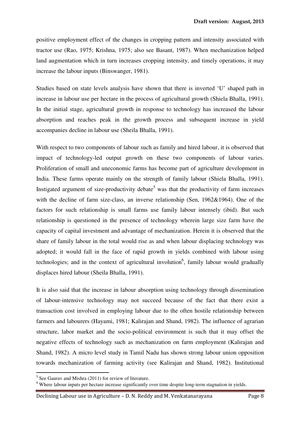positive employment effect of the changes in cropping pattern and intensity associated with tractor use (Rao, 1975; Krishna, 1975; also see Basant, 1987). When mechanization helped land augmentation which in turn increases cropping intensity, and timely operations, it may increase the labour inputs (Binswanger, 1981).

Studies based on state levels analysis have shown that there is inverted 'U' shaped path in increase in labour use per hectare in the process of agricultural growth (Shiela Bhalla, 1991). In the initial stage, agricultural growth in response to technology has increased the labour absorption and reaches peak in the growth process and subsequent increase in yield accompanies decline in labour use (Sheila Bhalla, 1991).

With respect to two components of labour such as family and hired labour, it is observed that impact of technology-led output growth on these two components of labour varies. Proliferation of small and uneconomic farms has become part of agriculture development in India. These farms operate mainly on the strength of family labour (Shiela Bhalla, 1991). Instigated argument of size-productivity debate<sup>5</sup> was that the productivity of farm increases with the decline of farm size-class, an inverse relationship (Sen, 1962&1964). One of the factors for such relationship is small farms use family labour intensely (ibid). But such relationship is questioned in the presence of technology wherein large size farm have the capacity of capital investment and advantage of mechanization. Herein it is observed that the share of family labour in the total would rise as and when labour displacing technology was adopted; it would fall in the face of rapid growth in yields combined with labour using technologies; and in the context of agricultural involution<sup>6</sup>, family labour would gradually displaces hired labour (Sheila Bhalla, 1991).

It is also said that the increase in labour absorption using technology through dissemination of labour-intensive technology may not succeed because of the fact that there exist a transaction cost involved in employing labour due to the often hostile relationship between farmers and labourers (Hayami, 1981; Kalirajan and Shand, 1982). The influence of agrarian structure, labor market and the socio-political environment is such that it may offset the negative effects of technology such as mechanization on farm employment (Kalirajan and Shand, 1982). A micro level study in Tamil Nadu has shown strong labour union opposition towards mechanization of farming activity (see Kalirajan and Shand, 1982). Institutional

 $\overline{a}$ 

<sup>&</sup>lt;sup>5</sup> See Gaurav and Mishra (2011) for review of literature.

<sup>&</sup>lt;sup>6</sup> Where labour inputs per hectare increase significantly over time despite long-term stagnation in yields.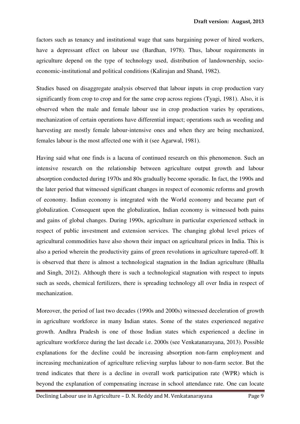factors such as tenancy and institutional wage that sans bargaining power of hired workers, have a depressant effect on labour use (Bardhan, 1978). Thus, labour requirements in agriculture depend on the type of technology used, distribution of landownership, socioeconomic-institutional and political conditions (Kalirajan and Shand, 1982).

Studies based on disaggregate analysis observed that labour inputs in crop production vary significantly from crop to crop and for the same crop across regions (Tyagi, 1981). Also, it is observed when the male and female labour use in crop production varies by operations, mechanization of certain operations have differential impact; operations such as weeding and harvesting are mostly female labour-intensive ones and when they are being mechanized, females labour is the most affected one with it (see Agarwal, 1981).

Having said what one finds is a lacuna of continued research on this phenomenon. Such an intensive research on the relationship between agriculture output growth and labour absorption conducted during 1970s and 80s gradually become sporadic. In fact, the 1990s and the later period that witnessed significant changes in respect of economic reforms and growth of economy. Indian economy is integrated with the World economy and became part of globalization. Consequent upon the globalization, Indian economy is witnessed both pains and gains of global changes. During 1990s, agriculture in particular experienced setback in respect of public investment and extension services. The changing global level prices of agricultural commodities have also shown their impact on agricultural prices in India. This is also a period wherein the productivity gains of green revolutions in agriculture tapered-off. It is observed that there is almost a technological stagnation in the Indian agriculture (Bhalla and Singh, 2012). Although there is such a technological stagnation with respect to inputs such as seeds, chemical fertilizers, there is spreading technology all over India in respect of mechanization.

Moreover, the period of last two decades (1990s and 2000s) witnessed deceleration of growth in agriculture workforce in many Indian states. Some of the states experienced negative growth. Andhra Pradesh is one of those Indian states which experienced a decline in agriculture workforce during the last decade i.e. 2000s (see Venkatanarayana, 2013). Possible explanations for the decline could be increasing absorption non-farm employment and increasing mechanization of agriculture relieving surplus labour to non-farm sector. But the trend indicates that there is a decline in overall work participation rate (WPR) which is beyond the explanation of compensating increase in school attendance rate. One can locate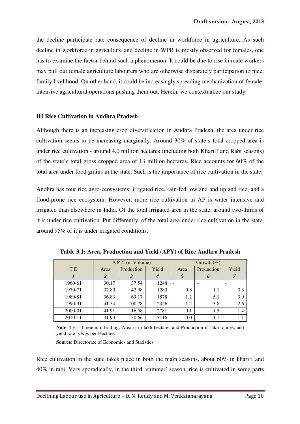the decline participate rate consequence of decline in workforce in agriculture. As such decline in workforce in agriculture and decline in WPR is mostly observed for females, one has to examine the factor behind such a phenomenon. It could be due to rise in male workers may pull out female agriculture labourers who are otherwise disparately participation to meet family livelihood. On other hand, it could be increasingly spreading mechanization of femaleintensive agricultural operations pushing them out. Herein, we contextualize our study.

#### **III Rice Cultivation in Andhra Pradesh**

Although there is an increasing crop diversification in Andhra Pradesh, the area under rice cultivation seems to be increasing marginally. Around 30% of state's total cropped area is under rice cultivation - around 4.0 million hectares (including both Khariff and Rabi seasons) of the state's total gross cropped area of 13 million hectares. Rice accounts for 60% of the total area under food grains in the state. Such is the importance of rice cultivation in the state.

Andhra has four rice agro-ecosystems: irrigated rice, rain-fed lowland and upland rice, and a flood-prone rice ecosystem. However, more rice cultivation in AP is water intensive and irrigated than elsewhere in India. Of the total irrigated area in the state, around two-thirds of it is under rice cultivation. Put differently, of the total area under rice cultivation in the state, around 95% of it is under irrigated conditions.

|           |                | A P Y (in Volume) |       | Growth $(\% )$ |            |       |  |
|-----------|----------------|-------------------|-------|----------------|------------|-------|--|
| <b>TE</b> | Area           | Production        | Yield | Area           | Production | Yield |  |
|           | $\overline{2}$ |                   |       |                | 6          | 7     |  |
| 1960-61   | 30.17          | 37.54             | 1244  |                |            |       |  |
| 1970-71   | 32.80          | 42.08             | 1283  | 0.8            | 1.1        | 0.3   |  |
| 1980-81   | 36.83          | 69.17             | 1878  | 1.2            | 5.1        | 3.9   |  |
| 1990-91   | 41.54          | 100.78            | 2426  | 1.2            | 3.8        | 2.6   |  |
| 2000-01   | 41.91          | 116.58            | 2781  | 0.1            | 1.5        | 1.4   |  |
| 2010-11   | 41.93          | 130.66            | 3116  | 0.0            | 1.1        | 1.1   |  |

**Table 3.1: Area, Production and Yield (APY) of Rice Andhra Pradesh** 

**Note**: TE – Triennium Ending; Area is in lakh hectares and Production in lakh tonnes; and yield rate is Kgs per Hectare.

**Source**: Directorate of Economics and Statistics.

Rice cultivation in the state takes place in both the main seasons, about 60% in khariff and 40% in rabi. Very sporadically, in the third 'summer' season, rice is cultivated in some parts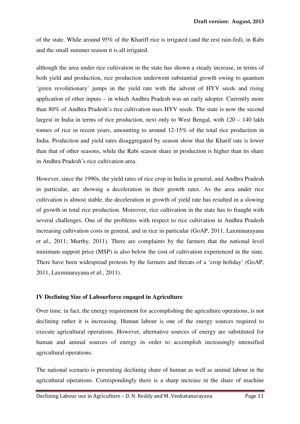of the state. While around 95% of the Khariff rice is irrigated (and the rest rain-fed), in Rabi and the small summer season it is all irrigated.

although the area under rice cultivation in the state has shown a steady increase, in terms of both yield and production, rice production underwent substantial growth owing to quantum 'green revolutionary' jumps in the yield rate with the advent of HYV seeds and rising application of other inputs – in which Andhra Pradesh was an early adopter. Currently more than 80% of Andhra Pradesh's rice cultivation uses HYV seeds. The state is now the second largest in India in terms of rice production, next only to West Bengal, with 120 – 140 lakh tonnes of rice in recent years, amounting to around 12-15% of the total rice production in India. Production and yield rates disaggregated by season show that the Kharif rate is lower than that of other seasons, while the Rabi season share in production is higher than its share in Andhra Pradesh's rice cultivation area.

However, since the 1990s, the yield rates of rice crop in India in general, and Andhra Pradesh in particular, are showing a deceleration in their growth rates. As the area under rice cultivation is almost stable, the deceleration in growth of yield rate has resulted in a slowing of growth in total rice production. Moreover, rice cultivation in the state has to fraught with several challenges. One of the problems with respect to rice cultivation in Andhra Pradesh increasing cultivation costs in general, and in rice in particular (GoAP, 2011, Laxminarayana *et al.*, 2011; Murthy, 2011). There are complaints by the farmers that the national level minimum support price (MSP) is also below the cost of cultivation experienced in the state. There have been widespread protests by the farmers and threats of a 'crop holiday' (GoAP, 2011, Laxminarayana *et al.*, 2011).

#### **IV Declining Size of Labourforce engaged in Agriculture**

Over time, in fact, the energy requirement for accomplishing the agriculture operations, is not declining rather it is increasing. Human labour is one of the energy sources required to execute agricultural operations. However, alternative sources of energy are substituted for human and animal sources of energy in order to accomplish increasingly intensified agricultural operations.

The national scenario is presenting declining share of human as well as animal labour in the agricultural operations. Correspondingly there is a sharp increase in the share of machine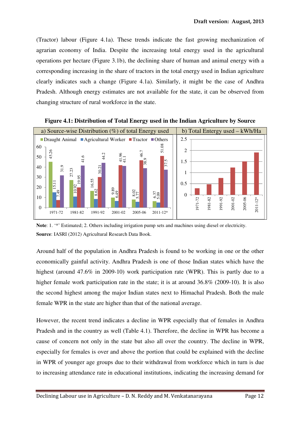(Tractor) labour (Figure 4.1a). These trends indicate the fast growing mechanization of agrarian economy of India. Despite the increasing total energy used in the agricultural operations per hectare (Figure 3.1b), the declining share of human and animal energy with a corresponding increasing in the share of tractors in the total energy used in Indian agriculture clearly indicates such a change (Figure 4.1a). Similarly, it might be the case of Andhra Pradesh. Although energy estimates are not available for the state, it can be observed from changing structure of rural workforce in the state.



**Figure 4.1: Distribution of Total Energy used in the Indian Agriculture by Source** 

**Note**: 1. '\*' Estimated; 2. Others including irrigation pump sets and machines using diesel or electricity. **Source**: IASRI (2012) Agricultural Research Data Book.

Around half of the population in Andhra Pradesh is found to be working in one or the other economically gainful activity. Andhra Pradesh is one of those Indian states which have the highest (around 47.6% in 2009-10) work participation rate (WPR). This is partly due to a higher female work participation rate in the state; it is at around 36.8% (2009-10). It is also the second highest among the major Indian states next to Himachal Pradesh. Both the male female WPR in the state are higher than that of the national average.

However, the recent trend indicates a decline in WPR especially that of females in Andhra Pradesh and in the country as well (Table 4.1). Therefore, the decline in WPR has become a cause of concern not only in the state but also all over the country. The decline in WPR, especially for females is over and above the portion that could be explained with the decline in WPR of younger age groups due to their withdrawal from workforce which in turn is due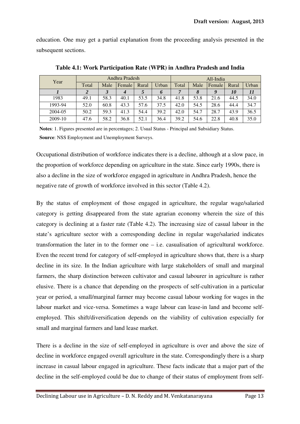education. One may get a partial explanation from the proceeding analysis presented in the subsequent sections.

| Year    | Andhra Pradesh |      |        |       | All-India |       |      |        |           |       |
|---------|----------------|------|--------|-------|-----------|-------|------|--------|-----------|-------|
|         | Total          | Male | Female | Rural | Urban     | Total | Male | Female | Rural     | Urban |
|         |                |      |        |       | O         |       |      |        | <i>10</i> |       |
| 1983    | 49.1           | 58.3 | 40.1   | 53.5  | 34.8      | 41.8  | 53.8 | 21.6   | 44.5      | 34.0  |
| 1993-94 | 52.0           | 60.8 | 43.3   | 57.6  | 37.5      | 42.0  | 54.5 | 28.6   | 44.4      | 34.7  |
| 2004-05 | 50.2           | 59.3 | 41.3   | 54.4  | 39.2      | 42.0  | 54.7 | 28.7   | 43.9      | 36.5  |
| 2009-10 | 47.6           | 58.2 | 36.8   | 52.1  | 36.4      | 39.2  | 54.6 | 22.8   | 40.8      | 35.0  |

**Table 4.1: Work Participation Rate (WPR) in Andhra Pradesh and India** 

**Notes**: 1. Figures presented are in percentages; 2. Usual Status - Principal and Subsidiary Status. **Source**: NSS Employment and Unemployment Surveys.

Occupational distribution of workforce indicates there is a decline, although at a slow pace, in the proportion of workforce depending on agriculture in the state. Since early 1990s, there is also a decline in the size of workforce engaged in agriculture in Andhra Pradesh, hence the negative rate of growth of workforce involved in this sector (Table 4.2).

By the status of employment of those engaged in agriculture, the regular wage/salaried category is getting disappeared from the state agrarian economy wherein the size of this category is declining at a faster rate (Table 4.2). The increasing size of casual labour in the state's agriculture sector with a corresponding decline in regular wage/salaried indicates transformation the later in to the former one – i.e. casualisation of agricultural workforce. Even the recent trend for category of self-employed in agriculture shows that, there is a sharp decline in its size. In the Indian agriculture with large stakeholders of small and marginal farmers, the sharp distinction between cultivator and casual labourer in agriculture is rather elusive. There is a chance that depending on the prospects of self-cultivation in a particular year or period, a small/marginal farmer may become casual labour working for wages in the labour market and vice-versa. Sometimes a wage labour can lease-in land and become selfemployed. This shift/diversification depends on the viability of cultivation especially for small and marginal farmers and land lease market.

There is a decline in the size of self-employed in agriculture is over and above the size of decline in workforce engaged overall agriculture in the state. Correspondingly there is a sharp increase in casual labour engaged in agriculture. These facts indicate that a major part of the decline in the self-employed could be due to change of their status of employment from self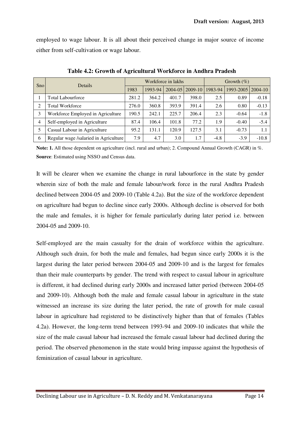employed to wage labour. It is all about their perceived change in major source of income either from self-cultivation or wage labour.

| Sno            | Details                               |       |         | Workforce in lakhs | Growth $(\%)$     |         |           |         |
|----------------|---------------------------------------|-------|---------|--------------------|-------------------|---------|-----------|---------|
|                |                                       | 1983  | 1993-94 |                    | 2004-05   2009-10 | 1983-94 | 1993-2005 | 2004-10 |
|                | Total Labourforce                     | 281.2 | 364.2   | 401.7              | 398.0             | 2.5     | 0.89      | $-0.18$ |
| 2              | <b>Total Workforce</b>                | 276.0 | 360.8   | 393.9              | 391.4             | 2.6     | 0.80      | $-0.13$ |
| 3              | Workforce Employed in Agriculture     | 190.5 | 242.1   | 225.7              | 206.4             | 2.3     | $-0.64$   | $-1.8$  |
| $\overline{4}$ | Self-employed in Agriculture          | 87.4  | 106.4   | 101.8              | 77.2              | 1.9     | $-0.40$   | $-5.4$  |
| 5              | Casual Labour in Agriculture          | 95.2  | 131.1   | 120.9              | 127.5             | 3.1     | $-0.73$   | 1.1     |
| 6              | Regular wage /salaried in Agriculture | 7.9   | 4.7     | 3.0                | 1.7               | $-4.8$  | $-3.9$    | $-10.8$ |

**Table 4.2: Growth of Agricultural Workforce in Andhra Pradesh** 

**Note: 1.** All those dependent on agriculture (incl. rural and urban); 2. Compound Annual Growth (CAGR) in %. **Source**: Estimated using NSSO and Census data.

It will be clearer when we examine the change in rural labourforce in the state by gender wherein size of both the male and female labour/work force in the rural Andhra Pradesh declined between 2004-05 and 2009-10 (Table 4.2a). But the size of the workforce dependent on agriculture had begun to decline since early 2000s. Although decline is observed for both the male and females, it is higher for female particularly during later period i.e. between 2004-05 and 2009-10.

Self-employed are the main casualty for the drain of workforce within the agriculture. Although such drain, for both the male and females, had begun since early 2000s it is the largest during the later period between 2004-05 and 2009-10 and is the largest for females than their male counterparts by gender. The trend with respect to casual labour in agriculture is different, it had declined during early 2000s and increased latter period (between 2004-05 and 2009-10). Although both the male and female casual labour in agriculture in the state witnessed an increase its size during the later period, the rate of growth for male casual labour in agriculture had registered to be distinctively higher than that of females (Tables 4.2a). However, the long-term trend between 1993-94 and 2009-10 indicates that while the size of the male casual labour had increased the female casual labour had declined during the period. The observed phenomenon in the state would bring impasse against the hypothesis of feminization of casual labour in agriculture.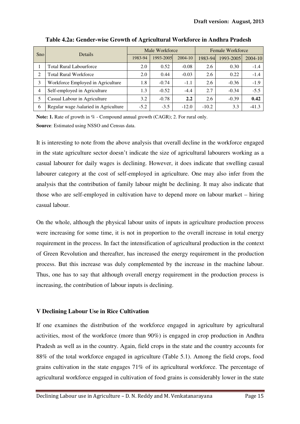| <b>Sno</b>     | <b>Details</b>                        |         | Male Workforce |         | Female Workforce |           |         |  |
|----------------|---------------------------------------|---------|----------------|---------|------------------|-----------|---------|--|
|                |                                       | 1983-94 | 1993-2005      | 2004-10 | 1983-94          | 1993-2005 | 2004-10 |  |
|                | <b>Total Rural Labourforce</b>        | 2.0     | 0.52           | $-0.08$ | 2.6              | 0.30      | $-1.4$  |  |
| 2              | <b>Total Rural Workforce</b>          | 2.0     | 0.44           | $-0.03$ | 2.6              | 0.22      | $-1.4$  |  |
| 3              | Workforce Employed in Agriculture     | 1.8     | $-0.74$        | $-1.1$  | 2.6              | $-0.36$   | $-1.9$  |  |
| $\overline{4}$ | Self-employed in Agriculture          | 1.3     | $-0.52$        | $-4.4$  | 2.7              | $-0.34$   | $-5.5$  |  |
| 5              | Casual Labour in Agriculture          | 3.2     | $-0.78$        | 2.2     | 2.6              | $-0.39$   | 0.42    |  |
| 6              | Regular wage /salaried in Agriculture | $-5.2$  | $-3.5$         | $-12.0$ | $-10.2$          | 3.3       | $-41.3$ |  |

**Table 4.2a: Gender-wise Growth of Agricultural Workforce in Andhra Pradesh** 

**Note: 1.** Rate of growth in % - Compound annual growth (CAGR); 2. For rural only. **Source**: Estimated using NSSO and Census data.

It is interesting to note from the above analysis that overall decline in the workforce engaged in the state agriculture sector doesn't indicate the size of agricultural labourers working as a casual labourer for daily wages is declining. However, it does indicate that swelling casual labourer category at the cost of self-employed in agriculture. One may also infer from the analysis that the contribution of family labour might be declining. It may also indicate that those who are self-employed in cultivation have to depend more on labour market – hiring casual labour.

On the whole, although the physical labour units of inputs in agriculture production process were increasing for some time, it is not in proportion to the overall increase in total energy requirement in the process. In fact the intensification of agricultural production in the context of Green Revolution and thereafter, has increased the energy requirement in the production process. But this increase was duly complemented by the increase in the machine labour. Thus, one has to say that although overall energy requirement in the production process is increasing, the contribution of labour inputs is declining.

### **V Declining Labour Use in Rice Cultivation**

If one examines the distribution of the workforce engaged in agriculture by agricultural activities, most of the workforce (more than 90%) is engaged in crop production in Andhra Pradesh as well as in the country. Again, field crops in the state and the country accounts for 88% of the total workforce engaged in agriculture (Table 5.1). Among the field crops, food grains cultivation in the state engages 71% of its agricultural workforce. The percentage of agricultural workforce engaged in cultivation of food grains is considerably lower in the state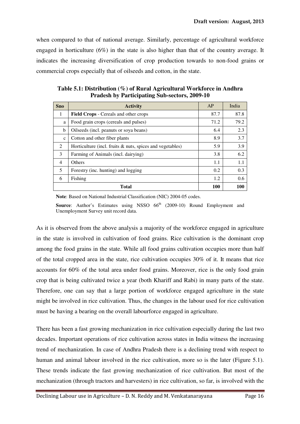when compared to that of national average. Similarly, percentage of agricultural workforce engaged in horticulture (6%) in the state is also higher than that of the country average. It indicates the increasing diversification of crop production towards to non-food grains or commercial crops especially that of oilseeds and cotton, in the state.

| <b>Sno</b>     | <b>Activity</b>                                              | AP         | India |
|----------------|--------------------------------------------------------------|------------|-------|
| 1              | <b>Field Crops - Cereals and other crops</b>                 | 87.7       | 87.8  |
| a              | Food grain crops (cereals and pulses)                        | 71.2       | 79.2  |
| b              | Oilseeds (incl. peanuts or soya beans)                       | 6.4        | 2.3   |
| $\mathbf{c}$   | Cotton and other fiber plants                                | 8.9        | 3.7   |
| $\mathfrak{D}$ | Horticulture (incl. fruits $\&$ nuts, spices and vegetables) | 5.9        | 3.9   |
| 3              | Farming of Animals (incl. dairying)                          | 3.8        | 6.2   |
| $\overline{4}$ | <b>Others</b>                                                | 1.1        | 1.1   |
| 5              | Forestry (inc. hunting) and logging                          | 0.2        | 0.3   |
| 6              | Fishing                                                      | 1.2        | 0.6   |
|                | Total                                                        | <b>100</b> | 100   |

**Table 5.1: Distribution (%) of Rural Agricultural Workforce in Andhra Pradesh by Participating Sub-sectors, 2009-10** 

**Note**: Based on National Industrial Classification (NIC) 2004-05 codes.

**Source:** Author's Estimates using NSSO 66<sup>th</sup> (2009-10) Round Employment and Unemployment Survey unit record data.

As it is observed from the above analysis a majority of the workforce engaged in agriculture in the state is involved in cultivation of food grains. Rice cultivation is the dominant crop among the food grains in the state. While all food grains cultivation occupies more than half of the total cropped area in the state, rice cultivation occupies 30% of it. It means that rice accounts for 60% of the total area under food grains. Moreover, rice is the only food grain crop that is being cultivated twice a year (both Khariff and Rabi) in many parts of the state. Therefore, one can say that a large portion of workforce engaged agriculture in the state might be involved in rice cultivation. Thus, the changes in the labour used for rice cultivation must be having a bearing on the overall labourforce engaged in agriculture.

There has been a fast growing mechanization in rice cultivation especially during the last two decades. Important operations of rice cultivation across states in India witness the increasing trend of mechanization. In case of Andhra Pradesh there is a declining trend with respect to human and animal labour involved in the rice cultivation, more so is the later (Figure 5.1). These trends indicate the fast growing mechanization of rice cultivation. But most of the mechanization (through tractors and harvesters) in rice cultivation, so far, is involved with the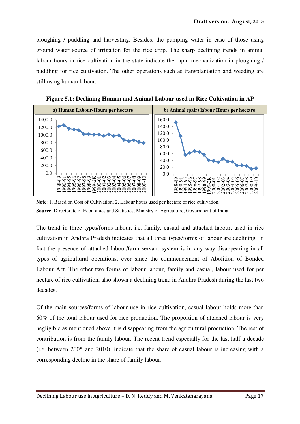ploughing / puddling and harvesting. Besides, the pumping water in case of those using ground water source of irrigation for the rice crop. The sharp declining trends in animal labour hours in rice cultivation in the state indicate the rapid mechanization in ploughing / puddling for rice cultivation. The other operations such as transplantation and weeding are still using human labour.



**Figure 5.1: Declining Human and Animal Labour used in Rice Cultivation in AP** 

The trend in three types/forms labour, i.e. family, casual and attached labour, used in rice cultivation in Andhra Pradesh indicates that all three types/forms of labour are declining. In fact the presence of attached labour/farm servant system is in any way disappearing in all types of agricultural operations, ever since the commencement of Abolition of Bonded Labour Act. The other two forms of labour labour, family and casual, labour used for per hectare of rice cultivation, also shown a declining trend in Andhra Pradesh during the last two decades.

Of the main sources/forms of labour use in rice cultivation, casual labour holds more than 60% of the total labour used for rice production. The proportion of attached labour is very negligible as mentioned above it is disappearing from the agricultural production. The rest of contribution is from the family labour. The recent trend especially for the last half-a-decade (i.e. between 2005 and 2010), indicate that the share of casual labour is increasing with a corresponding decline in the share of family labour.

**Note**: 1. Based on Cost of Cultivation; 2. Labour hours used per hectare of rice cultivation. **Source**: Directorate of Economics and Statistics, Ministry of Agriculture, Government of India.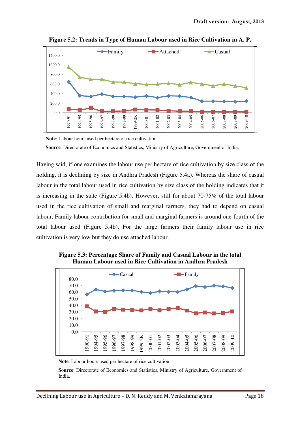

**Figure 5.2: Trends in Type of Human Labour used in Rice Cultivation in A. P.** 

**Note**: Labour hours used per hectare of rice cultivation **Source**: Directorate of Economics and Statistics, Ministry of Agriculture, Government of India.

Having said, if one examines the labour use per hectare of rice cultivation by size class of the holding, it is declining by size in Andhra Pradesh (Figure 5.4a). Whereas the share of casual labour in the total labour used in rice cultivation by size class of the holding indicates that it is increasing in the state (Figure 5.4b). However, still for about 70-75% of the total labour used in the rice cultivation of small and marginal farmers, they had to depend on casual labour. Family labour contribution for small and marginal farmers is around one-fourth of the total labour used (Figure 5.4b). For the large farmers their family labour use in rice cultivation is very low but they do use attached labour.



**Figure 5.3: Percentage Share of Family and Casual Labour in the total Human Labour used in Rice Cultivation in Andhra Pradesh** 

**Note**: Labour hours used per hectare of rice cultivation.

**Source**: Directorate of Economics and Statistics, Ministry of Agriculture, Government of India.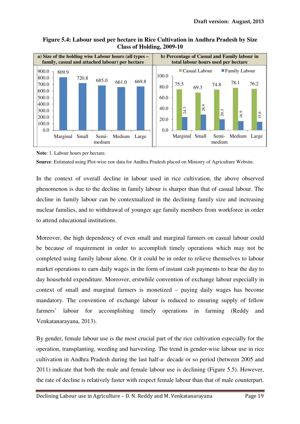**Figure 5.4: Labour used per hectare in Rice Cultivation in Andhra Pradesh by Size Class of Holding, 2009-10** 



**Note**: 1. Labour hours per hectare.

**Source**: Estimated using Plot-wise raw data for Andhra Pradesh placed on Ministry of Agriculture Website.

In the context of overall decline in labour used in rice cultivation, the above observed phenomenon is due to the decline in family labour is sharper than that of casual labour. The decline in family labour can be contextualized in the declining family size and increasing nuclear families, and to withdrawal of younger age family members from workforce in order to attend educational institutions.

Moreover, the high dependency of even small and marginal farmers on casual labour could be because of requirement in order to accomplish timely operations which may not be completed using family labour alone. Or it could be in order to relieve themselves to labour market operations to earn daily wages in the form of instant cash payments to bear the day to day household expenditure. Moreover, erstwhile convention of exchange labour especially in context of small and marginal farmers is monetized – paying daily wages has become mandatory. The convention of exchange labour is reduced to ensuring supply of fellow farmers' labour for accomplishing timely operations in farming (Reddy and Venkatanarayana, 2013).

By gender, female labour use is the most crucial part of the rice cultivation especially for the operation, transplanting, weeding and harvesting. The trend in gender-wise labour use in rice cultivation in Andhra Pradesh during the last half-a- decade or so period (between 2005 and 2011) indicate that both the male and female labour use is declining (Figure 5.5). However, the rate of decline is relatively faster with respect female labour than that of male counterpart.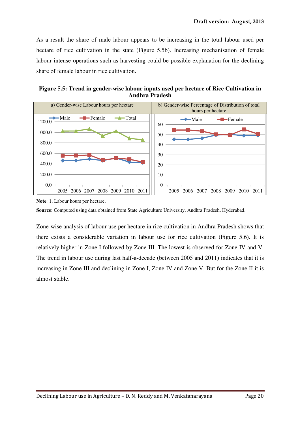As a result the share of male labour appears to be increasing in the total labour used per hectare of rice cultivation in the state (Figure 5.5b). Increasing mechanisation of female labour intense operations such as harvesting could be possible explanation for the declining share of female labour in rice cultivation.

**Figure 5.5: Trend in gender-wise labour inputs used per hectare of Rice Cultivation in Andhra Pradesh** 



**Note**: 1. Labour hours per hectare.

**Source**: Computed using data obtained from State Agriculture University, Andhra Pradesh, Hyderabad.

Zone-wise analysis of labour use per hectare in rice cultivation in Andhra Pradesh shows that there exists a considerable variation in labour use for rice cultivation (Figure 5.6). It is relatively higher in Zone I followed by Zone III. The lowest is observed for Zone IV and V. The trend in labour use during last half-a-decade (between 2005 and 2011) indicates that it is increasing in Zone III and declining in Zone I, Zone IV and Zone V. But for the Zone II it is almost stable.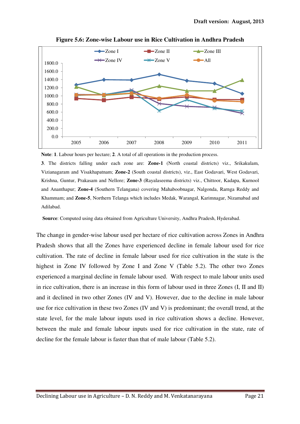

**Figure 5.6: Zone-wise Labour use in Rice Cultivation in Andhra Pradesh** 

**Note**: **1**. Labour hours per hectare; **2**. A total of all operations in the production process.

**3**. The districts falling under each zone are: **Zone-1** (North coastal districts) viz., Srikakulam, Vizianagaram and Visakhapatnam; **Zone-2** (South coastal districts), viz., East Godavari, West Godavari, Krishna, Guntur, Prakasam and Nellore; **Zone-3** (Rayalaseema districts) viz., Chittoor, Kadapa, Kurnool and Ananthapur; **Zone-4** (Southern Telangana) covering Mahaboobnagar, Nalgonda, Rarnga Reddy and Khammam; and **Zone-5**, Northern Telanga which includes Medak, Warangal, Karimnagar, Nizamabad and Adilabad.

**Source**: Computed using data obtained from Agriculture University, Andhra Pradesh, Hyderabad.

The change in gender-wise labour used per hectare of rice cultivation across Zones in Andhra Pradesh shows that all the Zones have experienced decline in female labour used for rice cultivation. The rate of decline in female labour used for rice cultivation in the state is the highest in Zone IV followed by Zone I and Zone V (Table 5.2). The other two Zones experienced a marginal decline in female labour used. With respect to male labour units used in rice cultivation, there is an increase in this form of labour used in three Zones (I, II and II) and it declined in two other Zones (IV and V). However, due to the decline in male labour use for rice cultivation in these two Zones (IV and V) is predominant; the overall trend, at the state level, for the male labour inputs used in rice cultivation shows a decline. However, between the male and female labour inputs used for rice cultivation in the state, rate of decline for the female labour is faster than that of male labour (Table 5.2).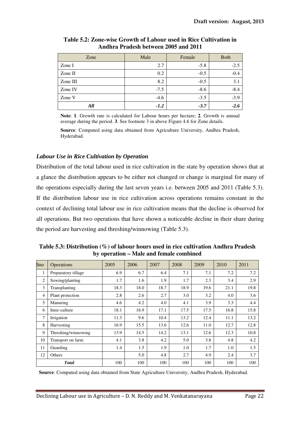| Zone     | Male   | Female | <b>Both</b> |
|----------|--------|--------|-------------|
| Zone I   | 2.7    | $-5.8$ | $-2.5$      |
| Zone II  | 0.2    | $-0.5$ | $-0.4$      |
| Zone III | 8.2    | $-0.5$ | 3.1         |
| Zone IV  | $-7.5$ | $-8.6$ | $-8.4$      |
| Zone V   | $-4.6$ | $-3.5$ | $-3.9$      |
| All      | $-1.2$ | $-3.7$ | $-2.6$      |

**Table 5.2: Zone-wise Growth of Labour used in Rice Cultivation in Andhra Pradesh between 2005 and 2011** 

**Note**: **1**. Growth rate is calculated for Labour hours per hectare; **2**. Growth is annual average during the period. **3**. See footnote 3 in above Figure 4.6 for Zone details.

**Source**: Computed using data obtained from Agriculture University, Andhra Pradesh, Hyderabad.

#### *Labour Use in Rice Cultivation by Operation*

Distribution of the total labour used in rice cultivation in the state by operation shows that at a glance the distribution appears to be either not changed or change is marginal for many of the operations especially during the last seven years i.e. between 2005 and 2011 (Table 5.3). If the distribution labour use in rice cultivation across operations remains constant in the context of declining total labour use in rice cultivation means that the decline is observed for all operations. But two operations that have shown a noticeable decline in their share during the period are harvesting and threshing/winnowing (Table 5.3).

**Table 5.3: Distribution (%) of labour hours used in rice cultivation Andhra Pradesh by operation – Male and female combined** 

| Sno | <b>Operations</b>   | 2005 | 2006 | 2007 | 2008 | 2009 | 2010 | 2011 |
|-----|---------------------|------|------|------|------|------|------|------|
| 1   | Preparatory tillage | 6.9  | 6.7  | 6.4  | 7.1  | 7.1  | 7.2  | 7.2  |
| 2   | Sowing/planting     | 1.7  | 1.6  | 1.9  | 1.7  | 2.3  | 3.4  | 2.9  |
| 3   | Transplanting       | 18.3 | 18.0 | 18.7 | 18.9 | 19.6 | 21.1 | 19.8 |
| 4   | Plant protection    | 2.8  | 2.6  | 2.7  | 3.0  | 3.2  | 4.0  | 3.6  |
| 5   | Manuring            | 4.6  | 4.2  | 4.0  | 4.1  | 3.9  | 3.3  | 4.4  |
| 6   | Inter-culture       | 18.1 | 16.9 | 17.1 | 17.5 | 17.5 | 16.8 | 15.8 |
| 7   | Irrigation          | 11.3 | 9.6  | 10.4 | 13.2 | 12.4 | 11.1 | 13.2 |
| 8   | Harvesting          | 16.9 | 15.5 | 13.6 | 12.6 | 11.0 | 12.7 | 12.8 |
| 9   | Threshing/winnowing | 13.9 | 14.5 | 14.2 | 13.1 | 12.6 | 12.3 | 10.8 |
| 10  | Transport on farm   | 4.1  | 3.8  | 4.2  | 5.0  | 3.8  | 4.8  | 4.2  |
| 11  | Guarding            | 1.4  | 1.5  | 1.9  | 1.0  | 1.7  | 1.0  | 1.5  |
| 12  | Others              |      | 5.0  | 4.8  | 2.7  | 4.9  | 2.4  | 3.7  |
|     | <b>Total</b>        | 100  | 100  | 100  | 100  | 100  | 100  | 100  |

**Source**: Computed using data obtained from State Agriculture University, Andhra Pradesh, Hyderabad.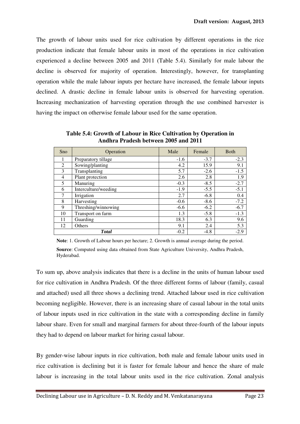The growth of labour units used for rice cultivation by different operations in the rice production indicate that female labour units in most of the operations in rice cultivation experienced a decline between 2005 and 2011 (Table 5.4). Similarly for male labour the decline is observed for majority of operation. Interestingly, however, for transplanting operation while the male labour inputs per hectare have increased, the female labour inputs declined. A drastic decline in female labour units is observed for harvesting operation. Increasing mechanization of harvesting operation through the use combined harvester is having the impact on otherwise female labour used for the same operation.

| Sno | Operation            | Male   | Female | <b>B</b> oth |
|-----|----------------------|--------|--------|--------------|
|     | Preparatory tillage  | $-1.6$ | $-3.7$ | $-2.3$       |
| 2   | Sowing/planting      | 4.2    | 15.9   | 9.1          |
| 3   | Transplanting        | 5.7    | $-2.6$ | $-1.5$       |
| 4   | Plant protection     | 2.6    | 2.8    | 1.9          |
| 5   | Manuring             | $-0.3$ | $-8.5$ | $-2.7$       |
| 6   | Interculture/weeding | $-1.9$ | $-5.5$ | $-5.1$       |
| 7   | Irrigation           | 2.7    | $-6.8$ | 0.4          |
| 8   | Harvesting           | $-0.6$ | $-8.6$ | $-7.2$       |
| 9   | Threshing/winnowing  | $-6.6$ | $-6.2$ | $-6.7$       |
| 10  | Transport on farm    | 1.3    | $-5.8$ | $-1.3$       |
| 11  | Guarding             | 18.3   | 6.3    | 9.6          |
| 12  | Others               | 9.1    | 2.4    | 5.3          |
|     | <b>Total</b>         | $-0.2$ | $-4.8$ | $-2.9$       |

**Table 5.4: Growth of Labour in Rice Cultivation by Operation in Andhra Pradesh between 2005 and 2011** 

**Note**: 1. Growth of Labour hours per hectare; 2. Growth is annual average during the period.

**Source**: Computed using data obtained from State Agriculture University, Andhra Pradesh, Hyderabad.

To sum up, above analysis indicates that there is a decline in the units of human labour used for rice cultivation in Andhra Pradesh. Of the three different forms of labour (family, casual and attached) used all three shows a declining trend. Attached labour used in rice cultivation becoming negligible. However, there is an increasing share of casual labour in the total units of labour inputs used in rice cultivation in the state with a corresponding decline in family labour share. Even for small and marginal farmers for about three-fourth of the labour inputs they had to depend on labour market for hiring casual labour.

By gender-wise labour inputs in rice cultivation, both male and female labour units used in rice cultivation is declining but it is faster for female labour and hence the share of male labour is increasing in the total labour units used in the rice cultivation. Zonal analysis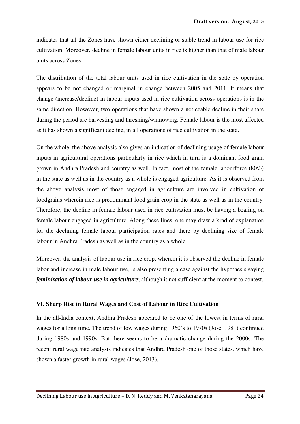indicates that all the Zones have shown either declining or stable trend in labour use for rice cultivation. Moreover, decline in female labour units in rice is higher than that of male labour units across Zones.

The distribution of the total labour units used in rice cultivation in the state by operation appears to be not changed or marginal in change between 2005 and 2011. It means that change (increase/decline) in labour inputs used in rice cultivation across operations is in the same direction. However, two operations that have shown a noticeable decline in their share during the period are harvesting and threshing/winnowing. Female labour is the most affected as it has shown a significant decline, in all operations of rice cultivation in the state.

On the whole, the above analysis also gives an indication of declining usage of female labour inputs in agricultural operations particularly in rice which in turn is a dominant food grain grown in Andhra Pradesh and country as well. In fact, most of the female labourforce (80%) in the state as well as in the country as a whole is engaged agriculture. As it is observed from the above analysis most of those engaged in agriculture are involved in cultivation of foodgrains wherein rice is predominant food grain crop in the state as well as in the country. Therefore, the decline in female labour used in rice cultivation must be having a bearing on female labour engaged in agriculture. Along these lines, one may draw a kind of explanation for the declining female labour participation rates and there by declining size of female labour in Andhra Pradesh as well as in the country as a whole.

Moreover, the analysis of labour use in rice crop, wherein it is observed the decline in female labor and increase in male labour use, is also presenting a case against the hypothesis saying *feminization of labour use in agriculture*; although it not sufficient at the moment to contest.

#### **VI. Sharp Rise in Rural Wages and Cost of Labour in Rice Cultivation**

In the all-India context, Andhra Pradesh appeared to be one of the lowest in terms of rural wages for a long time. The trend of low wages during 1960's to 1970s (Jose, 1981) continued during 1980s and 1990s. But there seems to be a dramatic change during the 2000s. The recent rural wage rate analysis indicates that Andhra Pradesh one of those states, which have shown a faster growth in rural wages (Jose, 2013).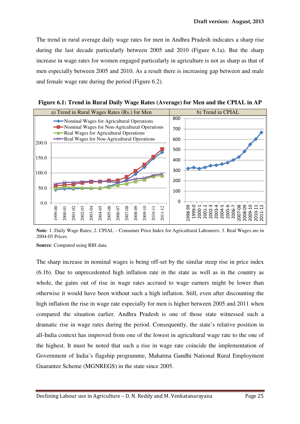The trend in rural average daily wage rates for men in Andhra Pradesh indicates a sharp rise during the last decade particularly between 2005 and 2010 (Figure 6.1a). But the sharp increase in wage rates for women engaged particularly in agriculture is not as sharp as that of men especially between 2005 and 2010. As a result there is increasing gap between and male and female wage rate during the period (Figure 6.2).



**Figure 6.1: Trend in Rural Daily Wage Rates (Average) for Men and the CPIAL in AP** 

**Note**: 1. Daily Wage Rates; 2. CPIAL – Consumer Price Index for Agricultural Labourers; 3. Real Wages are in 2004-05 Prices.

**Source**: Computed using RBI data.

The sharp increase in nominal wages is being off-set by the similar steep rise in price index (6.1b). Due to unprecedented high inflation rate in the state as well as in the country as whole, the gains out of rise in wage rates accrued to wage earners might be lower than otherwise it would have been without such a high inflation. Still, even after discounting the high inflation the rise in wage rate especially for men is higher between 2005 and 2011 when compared the situation earlier. Andhra Pradesh is one of those state witnessed such a dramatic rise in wage rates during the period. Consequently, the state's relative position in all-India context has improved from one of the lowest in agricultural wage rate to the one of the highest. It must be noted that such a rise in wage rate coincide the implementation of Government of India's flagship programme, Mahatma Gandhi National Rural Employment Guarantee Scheme (MGNREGS) in the state since 2005.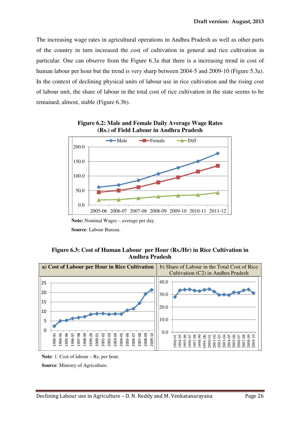The increasing wage rates in agricultural operations in Andhra Pradesh as well as other parts of the country in turn increased the cost of cultivation in general and rice cultivation in particular. One can observe from the Figure 6.3a that there is a increasing trend in cost of human labour per hour but the trend is very sharp between 2004-5 and 2009-10 (Figure 5.3a). In the context of declining physical units of labour use in rice cultivation and the rising cost of labour unit, the share of labour in the total cost of rice cultivation in the state seems to be remained, almost, stable (Figure 6.3b).



**Figure 6.2: Male and Female Daily Average Wage Rates (Rs.) of Field Labour in Andhra Pradesh** 

#### **Figure 6.3: Cost of Human Labour per Hour (Rs./Hr) in Rice Cultivation in Andhra Pradesh**



**Note**: 1. Cost of labour – Rs. per hour.

**Source**: Ministry of Agriculture.

**Note:** Nominal Wages – average per day. **Source**: Labour Bureau.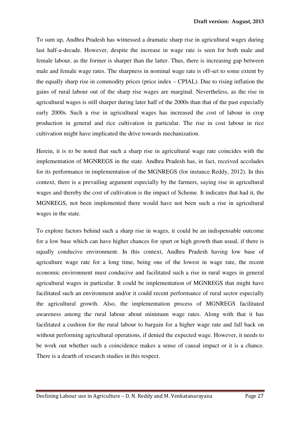To sum up, Andhra Pradesh has witnessed a dramatic sharp rise in agricultural wages during last half-a-decade. However, despite the increase in wage rate is seen for both male and female labour, as the former is sharper than the latter. Thus, there is increasing gap between male and female wage rates. The sharpness in nominal wage rate is off-set to some extent by the equally sharp rise in commodity prices (price index – CPIAL). Due to rising inflation the gains of rural labour out of the sharp rise wages are marginal. Nevertheless, as the rise in agricultural wages is still sharper during later half of the 2000s than that of the past especially early 2000s. Such a rise in agricultural wages has increased the cost of labour in crop production in general and rice cultivation in particular. The rise in cost labour in rice cultivation might have implicated the drive towards mechanization.

Herein, it is to be noted that such a sharp rise in agricultural wage rate coincides with the implementation of MGNREGS in the state. Andhra Pradesh has, in fact, received accolades for its performance in implementation of the MGNREGS (for instance Reddy, 2012). In this context, there is a prevailing argument especially by the farmers, saying rise in agricultural wages and thereby the cost of cultivation is the impact of Scheme. It indicates that had it, the MGNREGS, not been implemented there would have not been such a rise in agricultural wages in the state.

To explore factors behind such a sharp rise in wages, it could be an indispensable outcome for a low base which can have higher chances for spurt or high growth than usual, if there is equally conducive environment. In this context, Andhra Pradesh having low base of agriculture wage rate for a long time, being one of the lowest in wage rate, the recent economic environment must conducive and facilitated such a rise in rural wages in general agricultural wages in particular. It could be implementation of MGNREGS that might have facilitated such an environment and/or it could recent performance of rural sector especially the agricultural growth. Also, the implementation process of MGNREGS facilitated awareness among the rural labour about minimum wage rates. Along with that it has facilitated a cushion for the rural labour to bargain for a higher wage rate and fall back on without performing agricultural operations, if denied the expected wage. However, it needs to be work out whether such a coincidence makes a sense of causal impact or it is a chance. There is a dearth of research studies in this respect.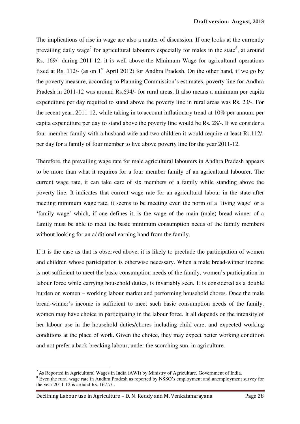The implications of rise in wage are also a matter of discussion. If one looks at the currently prevailing daily wage<sup>7</sup> for agricultural labourers especially for males in the state<sup>8</sup>, at around Rs. 169/- during 2011-12, it is well above the Minimum Wage for agricultural operations fixed at Rs. 112/- (as on  $1<sup>st</sup>$  April 2012) for Andhra Pradesh. On the other hand, if we go by the poverty measure, according to Planning Commission's estimates, poverty line for Andhra Pradesh in 2011-12 was around Rs.694/- for rural areas. It also means a minimum per capita expenditure per day required to stand above the poverty line in rural areas was Rs. 23/-. For the recent year, 2011-12, while taking in to account inflationary trend at 10% per annum, per capita expenditure per day to stand above the poverty line would be Rs. 28/-. If we consider a four-member family with a husband-wife and two children it would require at least Rs.112/ per day for a family of four member to live above poverty line for the year 2011-12.

Therefore, the prevailing wage rate for male agricultural labourers in Andhra Pradesh appears to be more than what it requires for a four member family of an agricultural labourer. The current wage rate, it can take care of six members of a family while standing above the poverty line. It indicates that current wage rate for an agricultural labour in the state after meeting minimum wage rate, it seems to be meeting even the norm of a 'living wage' or a 'family wage' which, if one defines it, is the wage of the main (male) bread-winner of a family must be able to meet the basic minimum consumption needs of the family members without looking for an additional earning hand from the family.

If it is the case as that is observed above, it is likely to preclude the participation of women and children whose participation is otherwise necessary. When a male bread-winner income is not sufficient to meet the basic consumption needs of the family, women's participation in labour force while carrying household duties, is invariably seen. It is considered as a double burden on women – working labour market and performing household chores. Once the male bread-winner's income is sufficient to meet such basic consumption needs of the family, women may have choice in participating in the labour force. It all depends on the intensity of her labour use in the household duties/chores including child care, and expected working conditions at the place of work. Given the choice, they may expect better working condition and not prefer a back-breaking labour, under the scorching sun, in agriculture.

 $\overline{a}$ 

<sup>&</sup>lt;sup>7</sup> As Reported in Agricultural Wages in India (AWI) by Ministry of Agriculture, Government of India.

<sup>&</sup>lt;sup>8</sup> Even the rural wage rate in Andhra Pradesh as reported by NSSO's employment and unemployment survey for the year 2011-12 is around Rs. 167.7/-.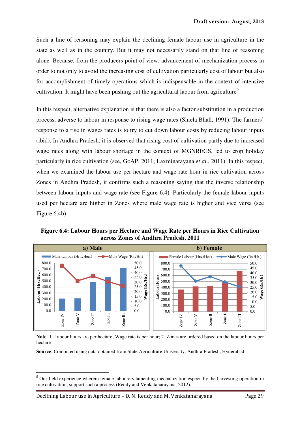Such a line of reasoning may explain the declining female labour use in agriculture in the state as well as in the country. But it may not necessarily stand on that line of reasoning alone. Because, from the producers point of view, advancement of mechanization process in order to not only to avoid the increasing cost of cultivation particularly cost of labour but also for accomplishment of timely operations which is indispensable in the context of intensive cultivation. It might have been pushing out the agricultural labour from agriculture<sup>9</sup>

In this respect, alternative explanation is that there is also a factor substitution in a production process, adverse to labour in response to rising wage rates (Shiela Bhall, 1991). The farmers' response to a rise in wages rates is to try to cut down labour costs by reducing labour inputs (ibid). In Andhra Pradesh, it is observed that rising cost of cultivation partly due to increased wage rates along with labour shortage in the context of MGNREGS, led to crop holiday particularly in rice cultivation (see, GoAP, 2011; Laxminarayana *et al.*, 2011). In this respect, when we examined the labour use per hectare and wage rate hour in rice cultivation across Zones in Andhra Pradesh, it confirms such a reasoning saying that the inverse relationship between labour inputs and wage rate (see Figure 6.4). Particularly the female labour inputs used per hectare are higher in Zones where male wage rate is higher and vice versa (see Figure 6.4b).

**Figure 6.4: Labour Hours per Hectare and Wage Rate per Hours in Rice Cultivation across Zones of Andhra Pradesh, 2011** 



**Note**: 1. Labour hours are per hectare; Wage rate is per hour; 2. Zones are ordered based on the labour hours per hectare

**Source**: Computed using data obtained from State Agriculture University, Andhra Pradesh, Hyderabad.

l

<sup>&</sup>lt;sup>9</sup> Our field experience wherein female labourers lamenting mechanization especially the harvesting operation in rice cultivation, support such a process (Reddy and Venkatanarayana, 2012).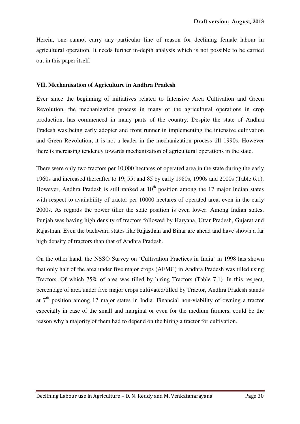Herein, one cannot carry any particular line of reason for declining female labour in agricultural operation. It needs further in-depth analysis which is not possible to be carried out in this paper itself.

#### **VII. Mechanisation of Agriculture in Andhra Pradesh**

Ever since the beginning of initiatives related to Intensive Area Cultivation and Green Revolution, the mechanization process in many of the agricultural operations in crop production, has commenced in many parts of the country. Despite the state of Andhra Pradesh was being early adopter and front runner in implementing the intensive cultivation and Green Revolution, it is not a leader in the mechanization process till 1990s. However there is increasing tendency towards mechanization of agricultural operations in the state.

There were only two tractors per 10,000 hectares of operated area in the state during the early 1960s and increased thereafter to 19; 55; and 85 by early 1980s, 1990s and 2000s (Table 6.1). However, Andhra Pradesh is still ranked at  $10<sup>th</sup>$  position among the 17 major Indian states with respect to availability of tractor per 10000 hectares of operated area, even in the early 2000s. As regards the power tiller the state position is even lower. Among Indian states, Punjab was having high density of tractors followed by Haryana, Uttar Pradesh, Gujarat and Rajasthan. Even the backward states like Rajasthan and Bihar are ahead and have shown a far high density of tractors than that of Andhra Pradesh.

On the other hand, the NSSO Survey on 'Cultivation Practices in India' in 1998 has shown that only half of the area under five major crops (AFMC) in Andhra Pradesh was tilled using Tractors. Of which 75% of area was tilled by hiring Tractors (Table 7.1). In this respect, percentage of area under five major crops cultivated/tilled by Tractor, Andhra Pradesh stands at  $7<sup>th</sup>$  position among 17 major states in India. Financial non-viability of owning a tractor especially in case of the small and marginal or even for the medium farmers, could be the reason why a majority of them had to depend on the hiring a tractor for cultivation.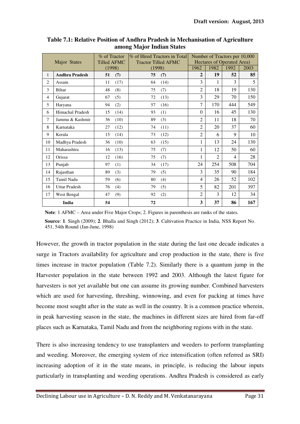|                     |                         | % of Tractor       | % of Hired Tractors in Total | Number of Tractors per 10,000     |                |                |      |  |
|---------------------|-------------------------|--------------------|------------------------------|-----------------------------------|----------------|----------------|------|--|
| <b>Major States</b> |                         | <b>Tilled AFMC</b> | <b>Tractor Tilled AFMC</b>   | <b>Hectares of Operated Area)</b> |                |                |      |  |
|                     |                         | (1998)             | (1998)                       | 1962                              | 1982           | 1992           | 2003 |  |
| 1                   | <b>Andhra Pradesh</b>   | 51<br>(7)          | 75<br>(7)                    | $\overline{2}$                    | 19             | 52             | 85   |  |
| $\overline{2}$      | Assam                   | (17)<br>11         | 64<br>(14)                   | 3                                 | 1              | 3              | 5    |  |
| 3                   | Bihar                   | 48<br>(8)          | 75<br>(7)                    | $\overline{2}$                    | 18             | 19             | 130  |  |
| $\overline{4}$      | Gujarat                 | (5)<br>67          | 72<br>(13)                   | 3                                 | 29             | 70             | 150  |  |
| 5                   | Haryana                 | 94<br>(2)          | 57<br>(16)                   | $\overline{7}$                    | 170            | 444            | 549  |  |
| 6                   | <b>Himachal Pradesh</b> | 15<br>(14)         | 93<br>(1)                    | $\Omega$                          | 16             | 45             | 130  |  |
| 7                   | Jammu & Kashmir         | (10)<br>36         | 89<br>(3)                    | $\overline{2}$                    | 11             | 18             | 70   |  |
| 8                   | Karnataka               | 27<br>(12)         | 74<br>(11)                   | $\overline{2}$                    | 20             | 37             | 60   |  |
| 9                   | Kerala                  | 15<br>(14)         | 73<br>(12)                   | $\overline{2}$                    | 6              | 9              | 10   |  |
| 10                  | Madhya Pradesh          | 36<br>(10)         | 63<br>(15)                   | 1                                 | 13             | 24             | 130  |  |
| 11                  | Maharashtra             | (13)<br>16         | 75<br>(7)                    | $\mathbf 1$                       | 12             | 50             | 60   |  |
| 12                  | Orissa                  | 12<br>(16)         | 75<br>(7)                    | $\mathbf{1}$                      | $\mathfrak{D}$ | $\overline{4}$ | 28   |  |
| 13                  | Punjab                  | 97<br>(1)          | 34<br>(17)                   | 24                                | 254            | 508            | 704  |  |
| 14                  | Rajasthan               | 89<br>(3)          | 79<br>(5)                    | 3                                 | 35             | 90             | 184  |  |
| 15                  | Tamil Nadu              | 59<br>(6)          | 80<br>(4)                    | $\overline{4}$                    | 26             | 52             | 102  |  |
| 16                  | <b>Uttar Pradesh</b>    | (4)<br>76          | 79<br>(5)                    | 5                                 | 82             | 201            | 397  |  |
| 17                  | West Bengal             | (9)<br>47          | (2)<br>92                    | $\overline{2}$                    | 3              | 12             | 34   |  |
|                     | India                   | 54                 | 72                           | 3                                 | 37             | 86             | 167  |  |

**Table 7.1: Relative Position of Andhra Pradesh in Mechanisation of Agriculture among Major Indian States** 

**Note**: 1 AFMC – Area under Five Major Crops; 2. Figures in parenthesis are ranks of the states.

**Source**: **1**. Singh (2009); **2**. Bhalla and Singh (2012); **3**. Cultivation Practice in India, NSS Report No. 451, 54th Round (Jan-June, 1998)

However, the growth in tractor population in the state during the last one decade indicates a surge in Tractors availability for agriculture and crop production in the state, there is five times increase in tractor population (Table 7.2). Similarly there is a quantum jump in the Harvester population in the state between 1992 and 2003. Although the latest figure for harvesters is not yet available but one can assume its growing number. Combined harvesters which are used for harvesting, threshing, winnowing, and even for packing at times have become most sought after in the state as well in the country. It is a common practice wherein, in peak harvesting season in the state, the machines in different sizes are hired from far-off places such as Karnataka, Tamil Nadu and from the neighboring regions with in the state.

There is also increasing tendency to use transplanters and weeders to perform transplanting and weeding. Moreover, the emerging system of rice intensification (often referred as SRI) increasing adoption of it in the state means, in principle, is reducing the labour inputs particularly in transplanting and weeding operations. Andhra Pradesh is considered as early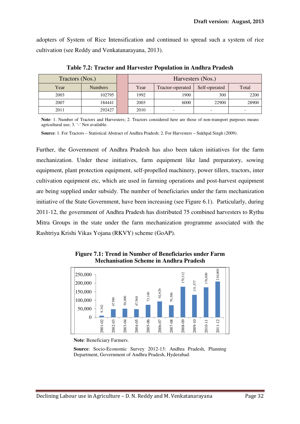adopters of System of Rice Intensification and continued to spread such a system of rice cultivation (see Reddy and Venkatanarayana, 2013).

| Tractors (Nos.) |                | Harvesters (Nos.) |      |                  |               |       |
|-----------------|----------------|-------------------|------|------------------|---------------|-------|
| Year            | <b>Numbers</b> |                   | Year | Tractor-operated | Self-operated | Total |
| 2003            | 102795         |                   | 1992 | 1900             | 300           | 2200  |
| 2007            | 184441         |                   | 2003 | 6000             | 22900         | 28900 |
| 2011            | 292427         |                   | 2010 |                  |               |       |

**Table 7.2: Tractor and Harvester Population in Andhra Pradesh** 

Note: 1. Number of Tractors and Harvesters; 2. Tractors considered here are those of non-transport purposes means agricultural use; 3. '-' Not available.

**Source**: 1. For Tractors – Statistical Abstract of Andhra Pradesh; 2. For Harvesters – Sukhpal Singh (2009).

Further, the Government of Andhra Pradesh has also been taken initiatives for the farm mechanization. Under these initiatives, farm equipment like land preparatory, sowing equipment, plant protection equipment, self-propelled machinery, power tillers, tractors, inter cultivation equipment etc, which are used in farming operations and post-harvest equipment are being supplied under subsidy. The number of beneficiaries under the farm mechanization initiative of the State Government, have been increasing (see Figure 6.1). Particularly, during 2011-12, the government of Andhra Pradesh has distributed 75 combined harvesters to Rythu Mitra Groups in the state under the farm mechanization programme associated with the Rashtriya Krishi Vikas Yojana (RKVY) scheme (GoAP).



**Figure 7.1: Trend in Number of Beneficiaries under Farm Mechanisation Scheme in Andhra Pradesh** 

**Source**: Socio-Economic Survey 2012-13: Andhra Pradesh, Planning

**Note**: Beneficiary Farmers.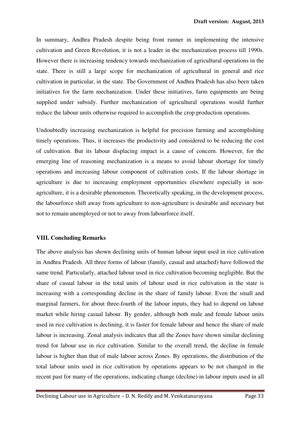In summary, Andhra Pradesh despite being front runner in implementing the intensive cultivation and Green Revolution, it is not a leader in the mechanization process till 1990s. However there is increasing tendency towards mechanization of agricultural operations in the state. There is still a large scope for mechanization of agricultural in general and rice cultivation in particular, in the state. The Government of Andhra Pradesh has also been taken initiatives for the farm mechanization. Under these initiatives, farm equipments are being supplied under subsidy. Further mechanization of agricultural operations would further reduce the labour units otherwise required to accomplish the crop production operations.

Undoubtedly increasing mechanization is helpful for precision farming and accomplishing timely operations. Thus, it increases the productivity and considered to be reducing the cost of cultivation. But its labour displacing impact is a cause of concern. However, for the emerging line of reasoning mechanization is a means to avoid labour shortage for timely operations and increasing labour component of cultivation costs. If the labour shortage in agriculture is due to increasing employment opportunities elsewhere especially in nonagriculture, it is a desirable phenomenon. Theoretically speaking, in the development process, the labourforce shift away from agriculture to non-agriculture is desirable and necessary but not to remain unemployed or not to away from labourforce itself.

#### **VIII. Concluding Remarks**

The above analysis has shown declining units of human labour input used in rice cultivation in Andhra Pradesh. All three forms of labour (family, casual and attached) have followed the same trend. Particularly, attached labour used in rice cultivation becoming negligible. But the share of casual labour in the total units of labour used in rice cultivation in the state is increasing with a corresponding decline in the share of family labour. Even the small and marginal farmers, for about three-fourth of the labour inputs, they had to depend on labour market while hiring casual labour. By gender, although both male and female labour units used in rice cultivation is declining, it is faster for female labour and hence the share of male labour is increasing. Zonal analysis indicates that all the Zones have shown similar declining trend for labour use in rice cultivation. Similar to the overall trend, the decline in female labour is higher than that of male labour across Zones. By operations, the distribution of the total labour units used in rice cultivation by operations appears to be not changed in the recent past for many of the operations, indicating change (decline) in labour inputs used in all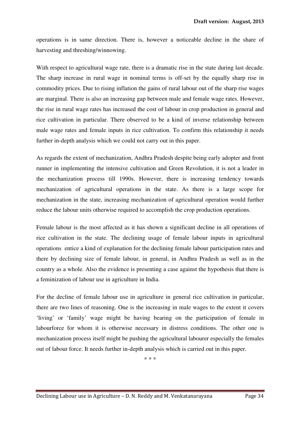operations is in same direction. There is, however a noticeable decline in the share of harvesting and threshing/winnowing.

With respect to agricultural wage rate, there is a dramatic rise in the state during last decade. The sharp increase in rural wage in nominal terms is off-set by the equally sharp rise in commodity prices. Due to rising inflation the gains of rural labour out of the sharp rise wages are marginal. There is also an increasing gap between male and female wage rates. However, the rise in rural wage rates has increased the cost of labour in crop production in general and rice cultivation in particular. There observed to be a kind of inverse relationship between male wage rates and female inputs in rice cultivation. To confirm this relationship it needs further in-depth analysis which we could not carry out in this paper.

As regards the extent of mechanization, Andhra Pradesh despite being early adopter and front runner in implementing the intensive cultivation and Green Revolution, it is not a leader in the mechanization process till 1990s. However, there is increasing tendency towards mechanization of agricultural operations in the state. As there is a large scope for mechanization in the state, increasing mechanization of agricultural operation would further reduce the labour units otherwise required to accomplish the crop production operations.

Female labour is the most affected as it has shown a significant decline in all operations of rice cultivation in the state. The declining usage of female labour inputs in agricultural operations entice a kind of explanation for the declining female labour participation rates and there by declining size of female labour, in general, in Andhra Pradesh as well as in the country as a whole. Also the evidence is presenting a case against the hypothesis that there is a feminization of labour use in agriculture in India.

For the decline of female labour use in agriculture in general rice cultivation in particular, there are two lines of reasoning. One is the increasing in male wages to the extent it covers 'living' or 'family' wage might be having bearing on the participation of female in labourforce for whom it is otherwise necessary in distress conditions. The other one is mechanization process itself might be pushing the agricultural labourer especially the females out of labour force. It needs further in-depth analysis which is carried out in this paper.

\* \* \*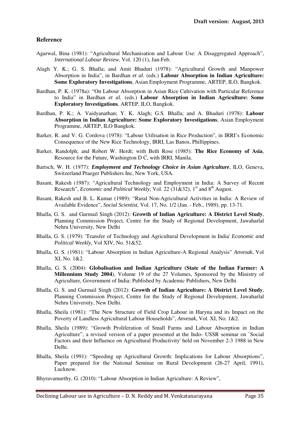#### **Reference**

- Agarwal, Bina (1981): "Agricultural Mechanisation and Labour Use: A Disaggregated Approach", *International Labour Review*, Vol. 120 (1), Jan-Feb.
- Alagh Y. K.; G. S. Bhalla; and Amit Bhaduri (1978): "Agricultural Growth and Manpower Absorption in India", in Bardhan *et al.* (eds.) **Labour Absorption in Indian Agriculture: Some Exploratory Investigations**, Asian Employment Programme, ARTEP, ILO, Bangkok.
- Bardhan, P. K. (1978a): "On Labour Absorption in Asian Rice Cultivation with Particular Reference to India" in Bardhan *et al.* (eds.) **Labour Absorption in Indian Agriculture: Some Exploratory Investigations**, ARTEP, ILO, Bangkok.
- Bardhan, P. K.; A. Vaidyanathan; Y. K. Alagh; G.S. Bhalla; and A. Bhaduri (1978): **Labour Absorption in Indian Agriculture: Some Exploratory Investigations**, Asian Employment Programme, ARTEP, ILO Bangkok.
- Barker, R. and V. G. Cordova (1978): "Labour Utilisation in Rice Production", in IRRI's Economic Consequence of the New Rice Technology, IRRI, Las Banos, Phillippines.
- Barker, Randolph; and Robert W. Herdt; with Beth Rose (1985): **The Rice Economy of Asia**, Resource for the Future, Washington D C, with IRRI, Manila.
- Bartsch, W. H. (1977): *Employment and Technology Choice in Asian Agriculture*, ILO, Geneva, Switzerland Praeger Publishers Inc, New York, USA.
- Basant, Rakesh (1987): "Agricultural Technology and Employment in India: A Survey of Recent Research", *Economic and Political Weekly*, Vol. 22 (31&32), 1<sup>st</sup> and 8<sup>th</sup> August.
- Basant, Rakesh and B. L. Kumar (1989): "Rural Non-Agricultural Activities in India: A Review of Available Evidence", *Social Scientist*, Vol. 17, No. 1/2 (Jan. - Feb., 1989), pp. 13-71.
- Bhalla, G. S. and Gurmail Singh (2012): **Growth of Indian Agriculture: A District Level Study**, Planning Commission Project, Centre for the Study of Regional Development, Jawaharlal Nehru University, New Delhi
- Bhalla, G. S. (1979): 'Transfer of Technology and Agricultural Development in India' *Economic and Political Weekly*, Vol XIV, No. 51&52.
- Bhalla, G. S. (1981): "Labour Absorption in Indian Agriculture-A Regional Analysis" *Anvesak*, Vol XI, No. 1&2.
- Bhalla, G. S. (2004): **Globalisation and Indian Agriculture (State of the Indian Farmer: A Millennium Study 2004**), Volume 19 of the 27 Volumes, Sponsored by the Ministry of Agriculture, Government of India: Published by Academic Publishers, New Delhi.
- Bhalla, G. S. and Gurmail Singh (2012): **Growth of Indian Agriculture: A District Level Study**, Planning Commission Project, Centre for the Study of Regional Development, Jawaharlal Nehru University, New Delhi.
- Bhalla, Sheila (1981): "The New Structure of Field Crop Labour in Haryna and its Impact on the Poverty of Landless Agricultural Labour Households", *Anvesak*, Vol. XI, No. 1&2.
- Bhalla, Sheila (1989): "Growth Proliferation of Small Farms and Labour Absorption in Indian Agriculture", a revised version of a paper presented at the Indo- USSR seminar on `Social Factors and their Influence on Agricultural Productivity' held on November 2-3 1988 in New Delhi.
- Bhalla, Sheila (1991): "Speeding up Agricultural Growth: Implications for Labour Absorptions", Paper prepared for the National Seminar on Rural Development (26-27 April, 1991), Lucknow.

Bhyravamurthy, G. (2010): "Labour Absorption in Indian Agriculture: A Review",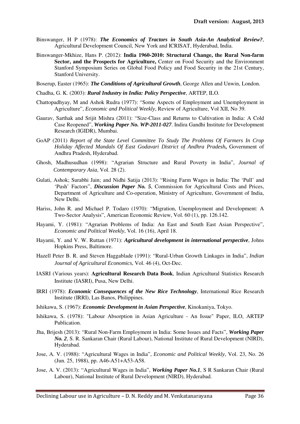- Binswanger, H P (1978): *The Economics of Tractors in South Asia-An Analytical Review?*, Agricultural Development Council, New York and ICRISAT, Hyderabad, India.
- Binswanger-Mkhize, Hans P. (2012): **India 1960-2010: Structural Change, the Rural Non-farm**  Sector, and the Prospects for Agriculture, Center on Food Security and the Environment Stanford Symposium Series on Global Food Policy and Food Security in the 21st Century, Stanford University.
- Boserup, Easter (1965): *The Conditions of Agricultural Growth*, George Allen and Unwin, London.
- Chadha, G. K. (2003): *Rural Industry in India: Policy Perspective*, ARTEP, ILO.
- Chattopadhyay, M and Ashok Rudra (1977): "Some Aspects of Employment and Unemployment in Agriculture", *Economic and Political Weekly*, Review of Agriculture, Vol XII, No 39.
- Gaurav, Sarthak and Srijit Mishra (2011): "Size-Class and Returns to Cultivation in India: A Cold Case Reopened", *Working Paper No. WP-2011-027*. Indira Gandhi Institute for Development Research (IGIDR), Mumbai.
- GoAP (2011) *Report of the State Level Committee To Study The Problems Of Farmers In Crop Holiday Affected Mandals Of East Godavari District of Andhra Pradesh***,** Government of Andhra Pradesh, Hyderabad.
- Ghosh, Madhusudhan (1998): "Agrarian Structure and Rural Poverty in India", *Journal of Contemporary Asia*, Vol. 28 (2).
- Gulati, Ashok; Surabhi Jain; and Nidhi Satija (2013): "Rising Farm Wages in India: The 'Pull' and 'Push' Factors", *Discussion Paper No. 5*, Commission for Agricultural Costs and Prices, Department of Agriculture and Co-operation, Ministry of Agriculture, Government of India, New Delhi.
- Hariss, John R. and Michael P. Todaro (1970): "Migration, Unemployment and Development: A Two-Sector Analysis", American Economic Review, Vol. 60 (1), pp. 126.142.
- Hayami, Y. (1981): "Agrarian Problems of India: An East and South East Asian Perspective", *Economic and Political Weekly*, Vol. 16 (16), April 18.
- Hayami, Y. and V. W. Ruttan (1971): *Agricultural development in international perspective*, Johns Hopkins Press, Baltimore.
- Hazell Peter B. R. and Steven Haggablade (1991): "Rural-Urban Growth Linkages in India", *Indian Journal of Agricultural Economics*, Vol. 46 (4), Oct-Dec.
- IASRI (Various years): **Agricultural Research Data Book**, Indian Agricultural Statistics Research Institute (IASRI), Pusa, New Delhi.
- IRRI (1978): *Economic Consequences of the New Rice Technology*, International Rice Research Institute (IRRI), Las Banos, Philippines.
- Ishikawa, S. (1967): *Economic Development in Asian Perspective*, Kinokuniya, Tokyo.
- Ishikawa, S. (1978): "Labour Absorption in Asian Agriculture An Issue" Paper, ILO, ARTEP Publication.
- Jha, Brijesh (2013): "Rural Non-Farm Employment in India: Some Issues and Facts", *Working Paper No. 2*, S. R. Sankaran Chair (Rural Labour), National Institute of Rural Development (NIRD), Hyderabad.
- Jose, A. V. (1988): "Agricultural Wages in India", *Economic and Political Weekly*, Vol. 23, No. 26 (Jun. 25, 1988), pp. A46-A51+A53-A58.
- Jose, A. V. (2013): "Agricultural Wages in India", *Working Paper No.1*, S R Sankaran Chair (Rural Labour), National Institute of Rural Development (NIRD), Hyderabad.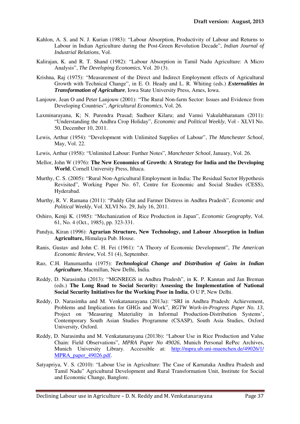- Kahlon, A. S. and N. J. Kurian (1983): "Labour Absorption, Productivity of Labour and Returns to Labour in Indian Agriculture during the Post-Green Revolution Decade", *Indian Journal of Industrial Relations*, Vol.
- Kalirajan, K. and R. T. Shand (1982): "Labour Absorption in Tamil Nadu Agriculture: A Micro Analysis", *The Developing Economics*, Vol. 20 (3).
- Krishna, Raj (1975): "Measurement of the Direct and Indirect Employment effects of Agricultural Growth with Technical Change", in E. O. Heady and L. R. Whiting (eds.) *Externalities in Transformation of Agriculture*, Iowa State University Press, Ames, Iowa.
- Lanjouw, Jean O and Peter Lanjouw (2001): "The Rural Non-farm Sector: Issues and Evidence from Developing Countries", *Agricultural Economics*, Vol. 26.
- Laxminarayana, K; N. Purendra Prasad; Sudheer Kilaru; and Vamsi Vakulabharanam (2011): "Understanding the Andhra Crop Holiday", *Economic and Political Weekly*, Vol - XLVI No. 50, December 10, 2011.
- Lewis, Arthur (1954): "Development with Unlimited Supplies of Labour", *The Manchester School*, May, Vol. 22.
- Lewis, Arthur (1958): "Unlimited Labour: Further Notes", *Manchester School*, January, Vol. 26.
- Mellor, John W (1976): **The New Economics of Growth: A Strategy for India and the Developing World**, Cornell University Press, Ithaca.
- Murthy, C. S. (2005): "Rural Non-Agricultural Employment in India: The Residual Sector Hypothesis Revisited", Working Paper No. 67, Centre for Economic and Social Studies (CESS), Hyderabad.
- Murthy, R. V. Ramana (2011): "Paddy Glut and Farmer Distress in Andhra Pradesh", *Economic and Political Weekly*, Vol. XLVI No. 29, July 16, 2011.
- Oshiro, Kenji K. (1985): "Mechanization of Rice Production in Japan", *Economic Geography*, Vol. 61, No. 4 (Oct., 1985), pp. 323-331.
- Pandya, Kiran (1996): **Agrarian Structure, New Technology, and Labour Absorption in Indian Agriculture,** Himalaya Pub. House.
- Ranis, Gustav and John C. H. Fei (1961): "A Theory of Economic Development", *The American Economic Review*, Vol. 51 (4), September.
- Rao, C.H. Hanumantha (1975): *Technological Change and Distribution of Gains in Indian Agriculture*, Macmillan, New Delhi, India.
- Reddy, D. Narasimha (2013): "MGNREGS in Andhra Pradesh", in K. P. Kannan and Jan Breman (eds.) **The Long Road to Social Security: Assessing the Implementation of National Social Security Initiatives for the Working Poor in India**, O U P, New Delhi.
- Reddy, D. Narasimha and M. Venkatanarayana (2013a): "SRI in Andhra Pradesh: Achievement, Problems and Implications for GHGs and Work", *RGTW Work-in-Progress Paper No. 13*, Project on 'Measuring Materiality in Informal Production-Distribution Systems', Contemporary South Asian Studies Programme (CSASP), South Asia Studies, Oxford University, Oxford.
- Reddy, D. Narasimha and M. Venkatanarayana (2013b): "Labour Use in Rice Production and Value Chain: Field Observations", *MPRA Paper No 49026*, Munich Personal RePec Archives, Munich University Library. Accessible at: http://mpra.ub.uni-muenchen.de/49026/1/ MPRA\_paper\_49026.pdf.
- Satyapriya, V. S. (2010): "Labour Use in Agriculture: The Case of Karnataka Andhra Pradesh and Tamil Nadu" Agricultural Development and Rural Transformation Unit, Institute for Social and Economic Change, Banglore.